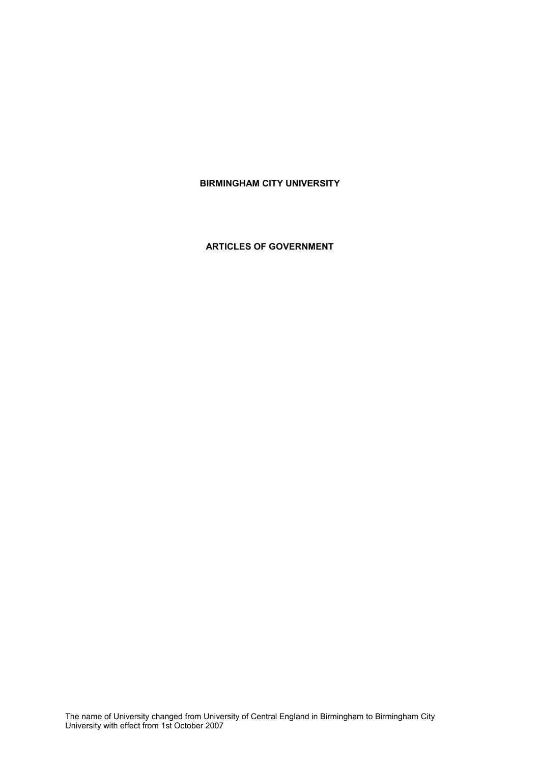# **BIRMINGHAM CITY UNIVERSITY**

**ARTICLES OF GOVERNMENT**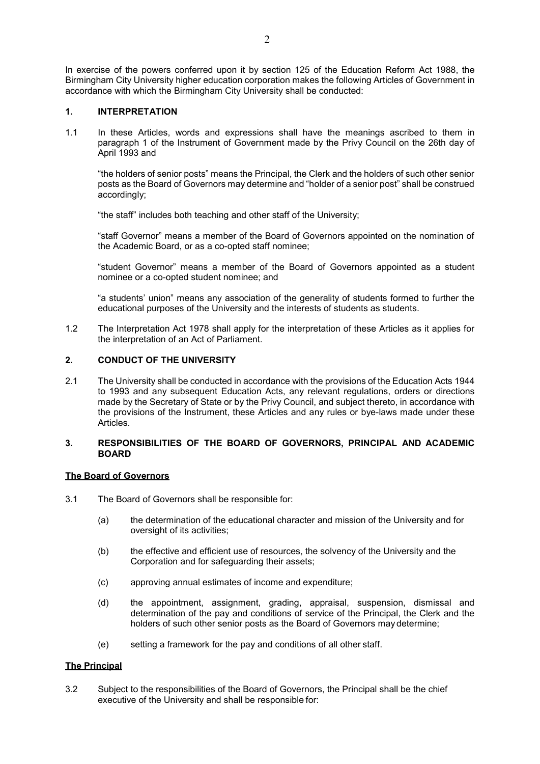In exercise of the powers conferred upon it by section 125 of the Education Reform Act 1988, the Birmingham City University higher education corporation makes the following Articles of Government in accordance with which the Birmingham City University shall be conducted:

### **1. INTERPRETATION**

1.1 In these Articles, words and expressions shall have the meanings ascribed to them in paragraph 1 of the Instrument of Government made by the Privy Council on the 26th day of April 1993 and

"the holders of senior posts" means the Principal, the Clerk and the holders of such other senior posts as the Board of Governors may determine and "holder of a senior post" shall be construed accordingly;

"the staff" includes both teaching and other staff of the University;

"staff Governor" means a member of the Board of Governors appointed on the nomination of the Academic Board, or as a co-opted staff nominee;

"student Governor" means a member of the Board of Governors appointed as a student nominee or a co-opted student nominee; and

"a students' union" means any association of the generality of students formed to further the educational purposes of the University and the interests of students as students.

1.2 The Interpretation Act 1978 shall apply for the interpretation of these Articles as it applies for the interpretation of an Act of Parliament.

## **2. CONDUCT OF THE UNIVERSITY**

2.1 The University shall be conducted in accordance with the provisions of the Education Acts 1944 to 1993 and any subsequent Education Acts, any relevant regulations, orders or directions made by the Secretary of State or by the Privy Council, and subject thereto, in accordance with the provisions of the Instrument, these Articles and any rules or bye-laws made under these Articles.

## **3. RESPONSIBILITIES OF THE BOARD OF GOVERNORS, PRINCIPAL AND ACADEMIC BOARD**

## **The Board of Governors**

- 3.1 The Board of Governors shall be responsible for:
	- (a) the determination of the educational character and mission of the University and for oversight of its activities;
	- (b) the effective and efficient use of resources, the solvency of the University and the Corporation and for safeguarding their assets;
	- (c) approving annual estimates of income and expenditure;
	- (d) the appointment, assignment, grading, appraisal, suspension, dismissal and determination of the pay and conditions of service of the Principal, the Clerk and the holders of such other senior posts as the Board of Governors may determine;
	- (e) setting a framework for the pay and conditions of all other staff.

### **The Principal**

3.2 Subject to the responsibilities of the Board of Governors, the Principal shall be the chief executive of the University and shall be responsible for: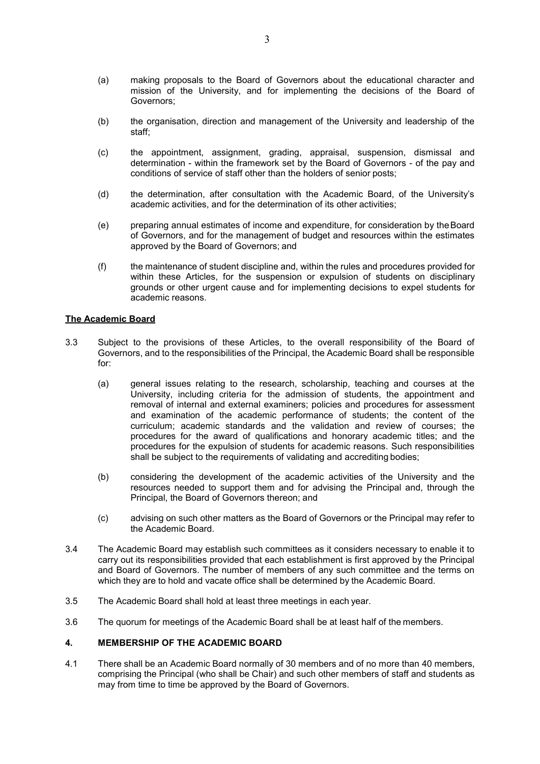- (a) making proposals to the Board of Governors about the educational character and mission of the University, and for implementing the decisions of the Board of Governors;
- (b) the organisation, direction and management of the University and leadership of the staff;
- (c) the appointment, assignment, grading, appraisal, suspension, dismissal and determination - within the framework set by the Board of Governors - of the pay and conditions of service of staff other than the holders of senior posts;
- (d) the determination, after consultation with the Academic Board, of the University's academic activities, and for the determination of its other activities;
- (e) preparing annual estimates of income and expenditure, for consideration by theBoard of Governors, and for the management of budget and resources within the estimates approved by the Board of Governors; and
- (f) the maintenance of student discipline and, within the rules and procedures provided for within these Articles, for the suspension or expulsion of students on disciplinary grounds or other urgent cause and for implementing decisions to expel students for academic reasons.

### **The Academic Board**

- 3.3 Subject to the provisions of these Articles, to the overall responsibility of the Board of Governors, and to the responsibilities of the Principal, the Academic Board shall be responsible for:
	- (a) general issues relating to the research, scholarship, teaching and courses at the University, including criteria for the admission of students, the appointment and removal of internal and external examiners; policies and procedures for assessment and examination of the academic performance of students; the content of the curriculum; academic standards and the validation and review of courses; the procedures for the award of qualifications and honorary academic titles; and the procedures for the expulsion of students for academic reasons. Such responsibilities shall be subject to the requirements of validating and accrediting bodies;
	- (b) considering the development of the academic activities of the University and the resources needed to support them and for advising the Principal and, through the Principal, the Board of Governors thereon; and
	- (c) advising on such other matters as the Board of Governors or the Principal may refer to the Academic Board.
- 3.4 The Academic Board may establish such committees as it considers necessary to enable it to carry out its responsibilities provided that each establishment is first approved by the Principal and Board of Governors. The number of members of any such committee and the terms on which they are to hold and vacate office shall be determined by the Academic Board.
- 3.5 The Academic Board shall hold at least three meetings in each year.
- 3.6 The quorum for meetings of the Academic Board shall be at least half of the members.

## **4. MEMBERSHIP OF THE ACADEMIC BOARD**

4.1 There shall be an Academic Board normally of 30 members and of no more than 40 members, comprising the Principal (who shall be Chair) and such other members of staff and students as may from time to time be approved by the Board of Governors.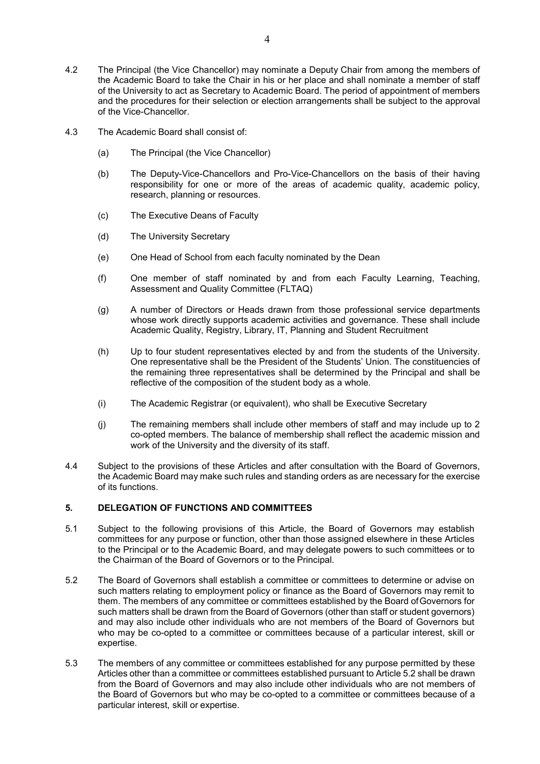- 4.2 The Principal (the Vice Chancellor) may nominate a Deputy Chair from among the members of the Academic Board to take the Chair in his or her place and shall nominate a member of staff of the University to act as Secretary to Academic Board. The period of appointment of members and the procedures for their selection or election arrangements shall be subject to the approval of the Vice-Chancellor.
- 4.3 The Academic Board shall consist of:
	- (a) The Principal (the Vice Chancellor)
	- (b) The Deputy-Vice-Chancellors and Pro-Vice-Chancellors on the basis of their having responsibility for one or more of the areas of academic quality, academic policy, research, planning or resources.
	- (c) The Executive Deans of Faculty
	- (d) The University Secretary
	- (e) One Head of School from each faculty nominated by the Dean
	- (f) One member of staff nominated by and from each Faculty Learning, Teaching, Assessment and Quality Committee (FLTAQ)
	- (g) A number of Directors or Heads drawn from those professional service departments whose work directly supports academic activities and governance. These shall include Academic Quality, Registry, Library, IT, Planning and Student Recruitment
	- (h) Up to four student representatives elected by and from the students of the University. One representative shall be the President of the Students' Union. The constituencies of the remaining three representatives shall be determined by the Principal and shall be reflective of the composition of the student body as a whole.
	- (i) The Academic Registrar (or equivalent), who shall be Executive Secretary
	- (j) The remaining members shall include other members of staff and may include up to 2 co-opted members. The balance of membership shall reflect the academic mission and work of the University and the diversity of its staff.
- 4.4 Subject to the provisions of these Articles and after consultation with the Board of Governors, the Academic Board may make such rules and standing orders as are necessary for the exercise of its functions.

## **5. DELEGATION OF FUNCTIONS AND COMMITTEES**

- 5.1 Subject to the following provisions of this Article, the Board of Governors may establish committees for any purpose or function, other than those assigned elsewhere in these Articles to the Principal or to the Academic Board, and may delegate powers to such committees or to the Chairman of the Board of Governors or to the Principal.
- 5.2 The Board of Governors shall establish a committee or committees to determine or advise on such matters relating to employment policy or finance as the Board of Governors may remit to them. The members of any committee or committees established by the Board ofGovernors for such matters shall be drawn from the Board of Governors (other than staff or student governors) and may also include other individuals who are not members of the Board of Governors but who may be co-opted to a committee or committees because of a particular interest, skill or expertise.
- 5.3 The members of any committee or committees established for any purpose permitted by these Articles other than a committee or committees established pursuant to Article 5.2 shall be drawn from the Board of Governors and may also include other individuals who are not members of the Board of Governors but who may be co-opted to a committee or committees because of a particular interest, skill or expertise.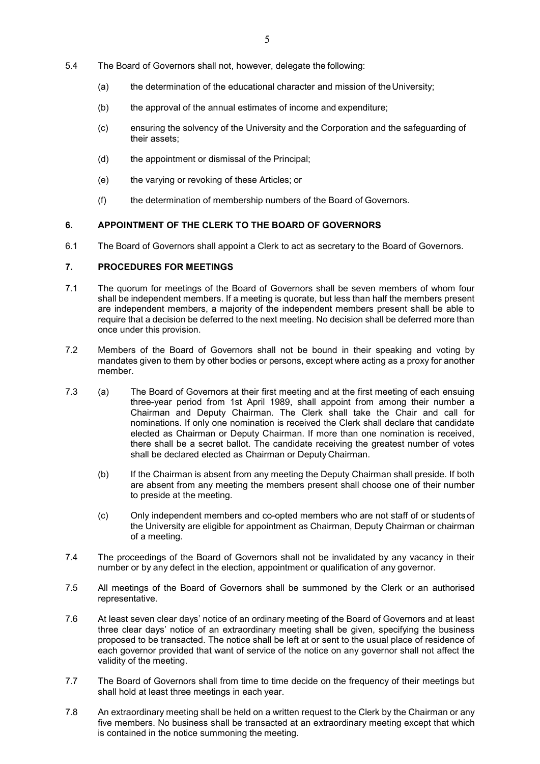- 5.4 The Board of Governors shall not, however, delegate the following:
	- (a) the determination of the educational character and mission of theUniversity;
	- (b) the approval of the annual estimates of income and expenditure;
	- (c) ensuring the solvency of the University and the Corporation and the safeguarding of their assets;
	- (d) the appointment or dismissal of the Principal;
	- (e) the varying or revoking of these Articles; or
	- (f) the determination of membership numbers of the Board of Governors.

# **6. APPOINTMENT OF THE CLERK TO THE BOARD OF GOVERNORS**

6.1 The Board of Governors shall appoint a Clerk to act as secretary to the Board of Governors.

## **7. PROCEDURES FOR MEETINGS**

- 7.1 The quorum for meetings of the Board of Governors shall be seven members of whom four shall be independent members. If a meeting is quorate, but less than half the members present are independent members, a majority of the independent members present shall be able to require that a decision be deferred to the next meeting. No decision shall be deferred more than once under this provision.
- 7.2 Members of the Board of Governors shall not be bound in their speaking and voting by mandates given to them by other bodies or persons, except where acting as a proxy for another member.
- 7.3 (a) The Board of Governors at their first meeting and at the first meeting of each ensuing three-year period from 1st April 1989, shall appoint from among their number a Chairman and Deputy Chairman. The Clerk shall take the Chair and call for nominations. If only one nomination is received the Clerk shall declare that candidate elected as Chairman or Deputy Chairman. If more than one nomination is received, there shall be a secret ballot. The candidate receiving the greatest number of votes shall be declared elected as Chairman or Deputy Chairman.
	- (b) If the Chairman is absent from any meeting the Deputy Chairman shall preside. If both are absent from any meeting the members present shall choose one of their number to preside at the meeting.
	- (c) Only independent members and co-opted members who are not staff of or students of the University are eligible for appointment as Chairman, Deputy Chairman or chairman of a meeting.
- 7.4 The proceedings of the Board of Governors shall not be invalidated by any vacancy in their number or by any defect in the election, appointment or qualification of any governor.
- 7.5 All meetings of the Board of Governors shall be summoned by the Clerk or an authorised representative.
- 7.6 At least seven clear days' notice of an ordinary meeting of the Board of Governors and at least three clear days' notice of an extraordinary meeting shall be given, specifying the business proposed to be transacted. The notice shall be left at or sent to the usual place of residence of each governor provided that want of service of the notice on any governor shall not affect the validity of the meeting.
- 7.7 The Board of Governors shall from time to time decide on the frequency of their meetings but shall hold at least three meetings in each year.
- 7.8 An extraordinary meeting shall be held on a written request to the Clerk by the Chairman or any five members. No business shall be transacted at an extraordinary meeting except that which is contained in the notice summoning the meeting.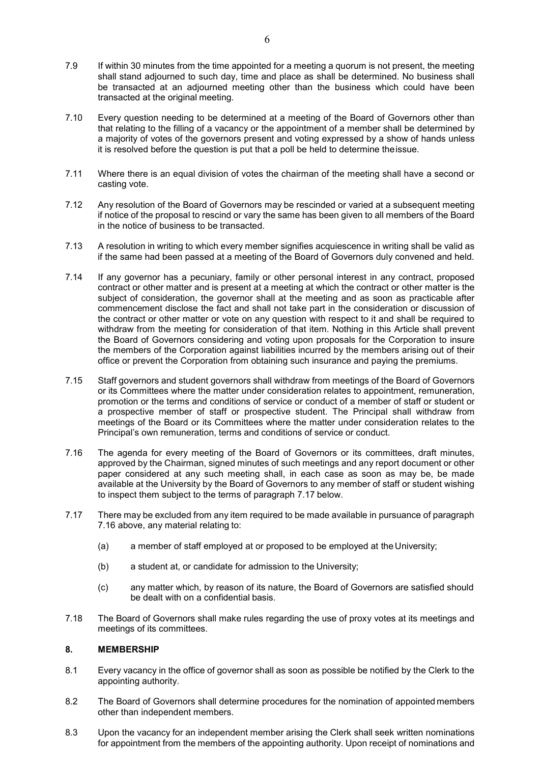- 7.9 If within 30 minutes from the time appointed for a meeting a quorum is not present, the meeting shall stand adjourned to such day, time and place as shall be determined. No business shall be transacted at an adjourned meeting other than the business which could have been transacted at the original meeting.
- 7.10 Every question needing to be determined at a meeting of the Board of Governors other than that relating to the filling of a vacancy or the appointment of a member shall be determined by a majority of votes of the governors present and voting expressed by a show of hands unless it is resolved before the question is put that a poll be held to determine theissue.
- 7.11 Where there is an equal division of votes the chairman of the meeting shall have a second or casting vote.
- 7.12 Any resolution of the Board of Governors may be rescinded or varied at a subsequent meeting if notice of the proposal to rescind or vary the same has been given to all members of the Board in the notice of business to be transacted.
- 7.13 A resolution in writing to which every member signifies acquiescence in writing shall be valid as if the same had been passed at a meeting of the Board of Governors duly convened and held.
- 7.14 If any governor has a pecuniary, family or other personal interest in any contract, proposed contract or other matter and is present at a meeting at which the contract or other matter is the subject of consideration, the governor shall at the meeting and as soon as practicable after commencement disclose the fact and shall not take part in the consideration or discussion of the contract or other matter or vote on any question with respect to it and shall be required to withdraw from the meeting for consideration of that item. Nothing in this Article shall prevent the Board of Governors considering and voting upon proposals for the Corporation to insure the members of the Corporation against liabilities incurred by the members arising out of their office or prevent the Corporation from obtaining such insurance and paying the premiums.
- 7.15 Staff governors and student governors shall withdraw from meetings of the Board of Governors or its Committees where the matter under consideration relates to appointment, remuneration, promotion or the terms and conditions of service or conduct of a member of staff or student or a prospective member of staff or prospective student. The Principal shall withdraw from meetings of the Board or its Committees where the matter under consideration relates to the Principal's own remuneration, terms and conditions of service or conduct.
- 7.16 The agenda for every meeting of the Board of Governors or its committees, draft minutes, approved by the Chairman, signed minutes of such meetings and any report document or other paper considered at any such meeting shall, in each case as soon as may be, be made available at the University by the Board of Governors to any member of staff or student wishing to inspect them subject to the terms of paragraph 7.17 below.
- 7.17 There may be excluded from any item required to be made available in pursuance of paragraph 7.16 above, any material relating to:
	- (a) a member of staff employed at or proposed to be employed at the University;
	- (b) a student at, or candidate for admission to the University;
	- (c) any matter which, by reason of its nature, the Board of Governors are satisfied should be dealt with on a confidential basis.
- 7.18 The Board of Governors shall make rules regarding the use of proxy votes at its meetings and meetings of its committees.

## **8. MEMBERSHIP**

- 8.1 Every vacancy in the office of governor shall as soon as possible be notified by the Clerk to the appointing authority.
- 8.2 The Board of Governors shall determine procedures for the nomination of appointed members other than independent members.
- 8.3 Upon the vacancy for an independent member arising the Clerk shall seek written nominations for appointment from the members of the appointing authority. Upon receipt of nominations and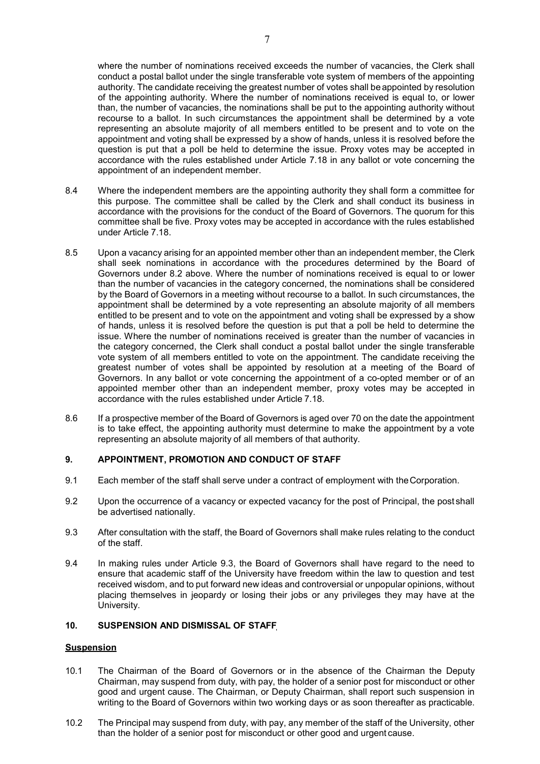where the number of nominations received exceeds the number of vacancies, the Clerk shall conduct a postal ballot under the single transferable vote system of members of the appointing authority. The candidate receiving the greatest number of votes shall be appointed by resolution of the appointing authority. Where the number of nominations received is equal to, or lower than, the number of vacancies, the nominations shall be put to the appointing authority without recourse to a ballot. In such circumstances the appointment shall be determined by a vote representing an absolute majority of all members entitled to be present and to vote on the appointment and voting shall be expressed by a show of hands, unless it is resolved before the question is put that a poll be held to determine the issue. Proxy votes may be accepted in accordance with the rules established under Article 7.18 in any ballot or vote concerning the appointment of an independent member.

- 8.4 Where the independent members are the appointing authority they shall form a committee for this purpose. The committee shall be called by the Clerk and shall conduct its business in accordance with the provisions for the conduct of the Board of Governors. The quorum for this committee shall be five. Proxy votes may be accepted in accordance with the rules established under Article 7.18.
- 8.5 Upon a vacancy arising for an appointed member other than an independent member, the Clerk shall seek nominations in accordance with the procedures determined by the Board of Governors under 8.2 above. Where the number of nominations received is equal to or lower than the number of vacancies in the category concerned, the nominations shall be considered by the Board of Governors in a meeting without recourse to a ballot. In such circumstances, the appointment shall be determined by a vote representing an absolute majority of all members entitled to be present and to vote on the appointment and voting shall be expressed by a show of hands, unless it is resolved before the question is put that a poll be held to determine the issue. Where the number of nominations received is greater than the number of vacancies in the category concerned, the Clerk shall conduct a postal ballot under the single transferable vote system of all members entitled to vote on the appointment. The candidate receiving the greatest number of votes shall be appointed by resolution at a meeting of the Board of Governors. In any ballot or vote concerning the appointment of a co-opted member or of an appointed member other than an independent member, proxy votes may be accepted in accordance with the rules established under Article 7.18.
- 8.6 If a prospective member of the Board of Governors is aged over 70 on the date the appointment is to take effect, the appointing authority must determine to make the appointment by a vote representing an absolute majority of all members of that authority.

## **9. APPOINTMENT, PROMOTION AND CONDUCT OF STAFF**

- 9.1 Each member of the staff shall serve under a contract of employment with theCorporation.
- 9.2 Upon the occurrence of a vacancy or expected vacancy for the post of Principal, the post shall be advertised nationally.
- 9.3 After consultation with the staff, the Board of Governors shall make rules relating to the conduct of the staff.
- 9.4 In making rules under Article 9.3, the Board of Governors shall have regard to the need to ensure that academic staff of the University have freedom within the law to question and test received wisdom, and to put forward new ideas and controversial or unpopular opinions, without placing themselves in jeopardy or losing their jobs or any privileges they may have at the University.

## **10. SUSPENSION AND DISMISSAL OF STAFF**

## **Suspension**

- 10.1 The Chairman of the Board of Governors or in the absence of the Chairman the Deputy Chairman, may suspend from duty, with pay, the holder of a senior post for misconduct or other good and urgent cause. The Chairman, or Deputy Chairman, shall report such suspension in writing to the Board of Governors within two working days or as soon thereafter as practicable.
- 10.2 The Principal may suspend from duty, with pay, any member of the staff of the University, other than the holder of a senior post for misconduct or other good and urgent cause.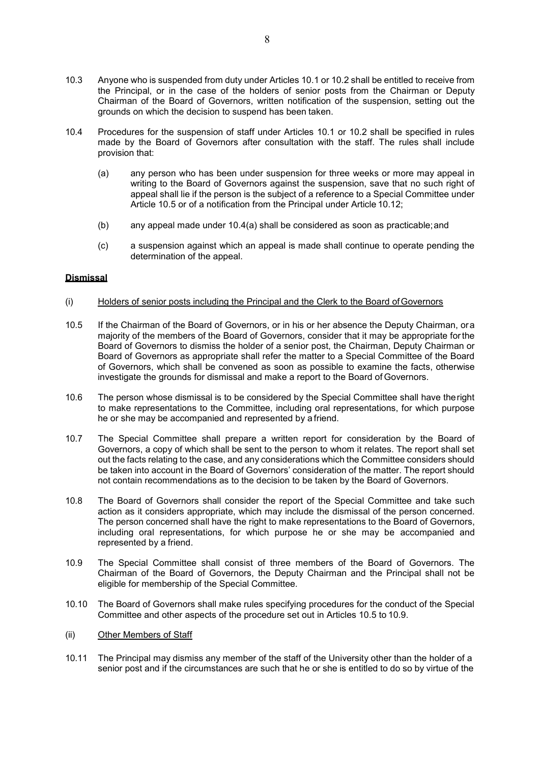- 10.3 Anyone who is suspended from duty under Articles 10.1 or 10.2 shall be entitled to receive from the Principal, or in the case of the holders of senior posts from the Chairman or Deputy Chairman of the Board of Governors, written notification of the suspension, setting out the grounds on which the decision to suspend has been taken.
- 10.4 Procedures for the suspension of staff under Articles 10.1 or 10.2 shall be specified in rules made by the Board of Governors after consultation with the staff. The rules shall include provision that:
	- (a) any person who has been under suspension for three weeks or more may appeal in writing to the Board of Governors against the suspension, save that no such right of appeal shall lie if the person is the subject of a reference to a Special Committee under Article 10.5 or of a notification from the Principal under Article 10.12;
	- (b) any appeal made under 10.4(a) shall be considered as soon as practicable;and
	- (c) a suspension against which an appeal is made shall continue to operate pending the determination of the appeal.

## **Dismissal**

- (i) Holders of senior posts including the Principal and the Clerk to the Board ofGovernors
- 10.5 If the Chairman of the Board of Governors, or in his or her absence the Deputy Chairman, ora majority of the members of the Board of Governors, consider that it may be appropriate forthe Board of Governors to dismiss the holder of a senior post, the Chairman, Deputy Chairman or Board of Governors as appropriate shall refer the matter to a Special Committee of the Board of Governors, which shall be convened as soon as possible to examine the facts, otherwise investigate the grounds for dismissal and make a report to the Board of Governors.
- 10.6 The person whose dismissal is to be considered by the Special Committee shall have theright to make representations to the Committee, including oral representations, for which purpose he or she may be accompanied and represented by a friend.
- 10.7 The Special Committee shall prepare a written report for consideration by the Board of Governors, a copy of which shall be sent to the person to whom it relates. The report shall set out the facts relating to the case, and any considerations which the Committee considers should be taken into account in the Board of Governors' consideration of the matter. The report should not contain recommendations as to the decision to be taken by the Board of Governors.
- 10.8 The Board of Governors shall consider the report of the Special Committee and take such action as it considers appropriate, which may include the dismissal of the person concerned. The person concerned shall have the right to make representations to the Board of Governors, including oral representations, for which purpose he or she may be accompanied and represented by a friend.
- 10.9 The Special Committee shall consist of three members of the Board of Governors. The Chairman of the Board of Governors, the Deputy Chairman and the Principal shall not be eligible for membership of the Special Committee.
- 10.10 The Board of Governors shall make rules specifying procedures for the conduct of the Special Committee and other aspects of the procedure set out in Articles 10.5 to 10.9.
- (ii) Other Members of Staff
- 10.11 The Principal may dismiss any member of the staff of the University other than the holder of a senior post and if the circumstances are such that he or she is entitled to do so by virtue of the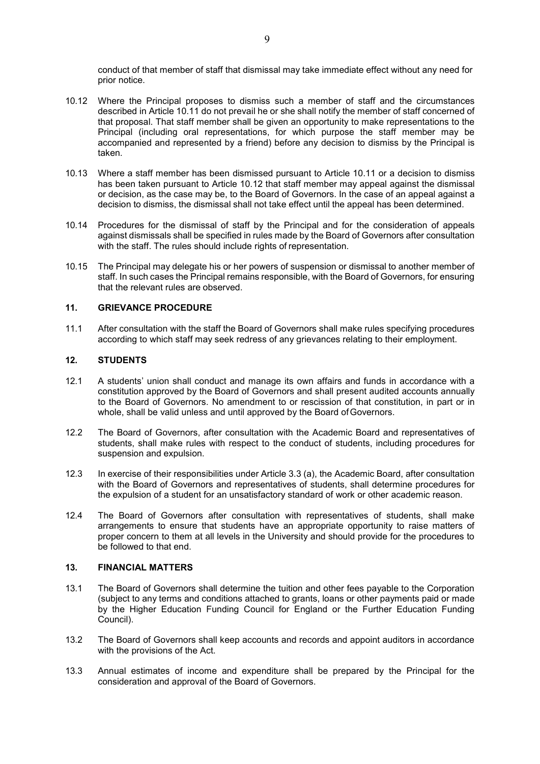conduct of that member of staff that dismissal may take immediate effect without any need for prior notice.

- 10.12 Where the Principal proposes to dismiss such a member of staff and the circumstances described in Article 10.11 do not prevail he or she shall notify the member of staff concerned of that proposal. That staff member shall be given an opportunity to make representations to the Principal (including oral representations, for which purpose the staff member may be accompanied and represented by a friend) before any decision to dismiss by the Principal is taken.
- 10.13 Where a staff member has been dismissed pursuant to Article 10.11 or a decision to dismiss has been taken pursuant to Article 10.12 that staff member may appeal against the dismissal or decision, as the case may be, to the Board of Governors. In the case of an appeal against a decision to dismiss, the dismissal shall not take effect until the appeal has been determined.
- 10.14 Procedures for the dismissal of staff by the Principal and for the consideration of appeals against dismissals shall be specified in rules made by the Board of Governors after consultation with the staff. The rules should include rights of representation.
- 10.15 The Principal may delegate his or her powers of suspension or dismissal to another member of staff. In such cases the Principal remains responsible, with the Board of Governors, for ensuring that the relevant rules are observed.

### **11. GRIEVANCE PROCEDURE**

11.1 After consultation with the staff the Board of Governors shall make rules specifying procedures according to which staff may seek redress of any grievances relating to their employment.

### **12. STUDENTS**

- 12.1 A students' union shall conduct and manage its own affairs and funds in accordance with a constitution approved by the Board of Governors and shall present audited accounts annually to the Board of Governors. No amendment to or rescission of that constitution, in part or in whole, shall be valid unless and until approved by the Board of Governors.
- 12.2 The Board of Governors, after consultation with the Academic Board and representatives of students, shall make rules with respect to the conduct of students, including procedures for suspension and expulsion.
- 12.3 In exercise of their responsibilities under Article 3.3 (a), the Academic Board, after consultation with the Board of Governors and representatives of students, shall determine procedures for the expulsion of a student for an unsatisfactory standard of work or other academic reason.
- 12.4 The Board of Governors after consultation with representatives of students, shall make arrangements to ensure that students have an appropriate opportunity to raise matters of proper concern to them at all levels in the University and should provide for the procedures to be followed to that end.

### **13. FINANCIAL MATTERS**

- 13.1 The Board of Governors shall determine the tuition and other fees payable to the Corporation (subject to any terms and conditions attached to grants, loans or other payments paid or made by the Higher Education Funding Council for England or the Further Education Funding Council).
- 13.2 The Board of Governors shall keep accounts and records and appoint auditors in accordance with the provisions of the Act.
- 13.3 Annual estimates of income and expenditure shall be prepared by the Principal for the consideration and approval of the Board of Governors.